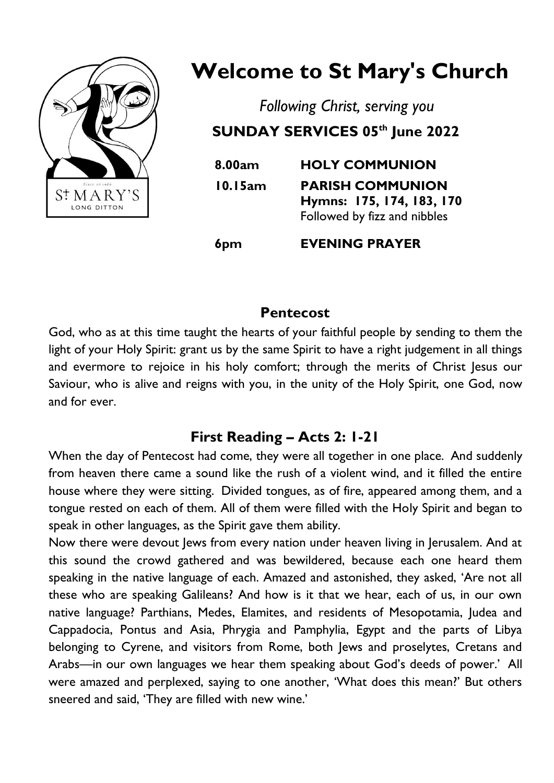

# **Welcome to St Mary's Church**

*Following Christ, serving you* **SUNDAY SERVICES 05th June 2022**

| 8.00am  | <b>HOLY COMMUNION</b>                                                                |
|---------|--------------------------------------------------------------------------------------|
| 10.15am | <b>PARISH COMMUNION</b><br>Hymns: 175, 174, 183, 170<br>Followed by fizz and nibbles |
|         |                                                                                      |

**6pm EVENING PRAYER**

## **Pentecost**

God, who as at this time taught the hearts of your faithful people by sending to them the light of your Holy Spirit: grant us by the same Spirit to have a right judgement in all things and evermore to rejoice in his holy comfort; through the merits of Christ Jesus our Saviour, who is alive and reigns with you, in the unity of the Holy Spirit, one God, now and for ever.

# **First Reading – Acts 2: 1-21**

When the day of Pentecost had come, they were all together in one place. And suddenly from heaven there came a sound like the rush of a violent wind, and it filled the entire house where they were sitting. Divided tongues, as of fire, appeared among them, and a tongue rested on each of them. All of them were filled with the Holy Spirit and began to speak in other languages, as the Spirit gave them ability.

Now there were devout Jews from every nation under heaven living in Jerusalem. And at this sound the crowd gathered and was bewildered, because each one heard them speaking in the native language of each. Amazed and astonished, they asked, 'Are not all these who are speaking Galileans? And how is it that we hear, each of us, in our own native language? Parthians, Medes, Elamites, and residents of Mesopotamia, Judea and Cappadocia, Pontus and Asia, Phrygia and Pamphylia, Egypt and the parts of Libya belonging to Cyrene, and visitors from Rome, both Jews and proselytes, Cretans and Arabs—in our own languages we hear them speaking about God's deeds of power.' All were amazed and perplexed, saying to one another, 'What does this mean?' But others sneered and said, 'They are filled with new wine.'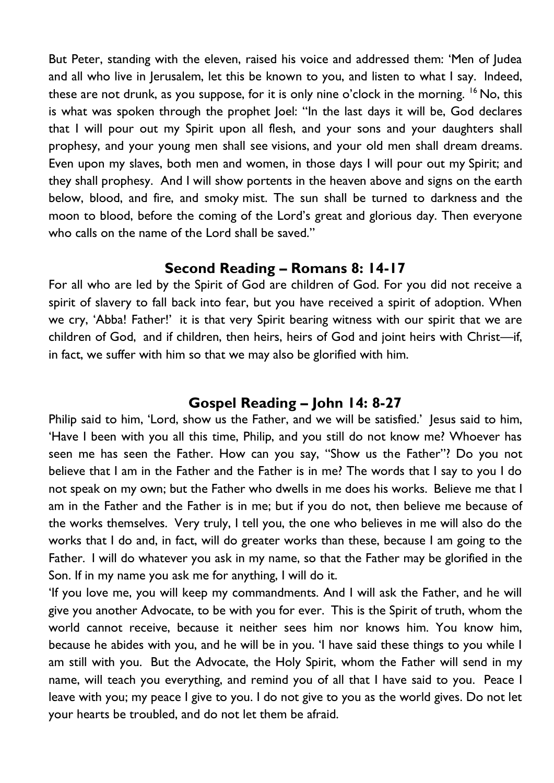But Peter, standing with the eleven, raised his voice and addressed them: 'Men of Judea and all who live in Jerusalem, let this be known to you, and listen to what I say. Indeed, these are not drunk, as you suppose, for it is only nine o'clock in the morning.  $16$  No, this is what was spoken through the prophet Joel: "In the last days it will be, God declares that I will pour out my Spirit upon all flesh, and your sons and your daughters shall prophesy, and your young men shall see visions, and your old men shall dream dreams. Even upon my slaves, both men and women, in those days I will pour out my Spirit; and they shall prophesy. And I will show portents in the heaven above and signs on the earth below, blood, and fire, and smoky mist. The sun shall be turned to darkness and the moon to blood, before the coming of the Lord's great and glorious day. Then everyone who calls on the name of the Lord shall be saved."

#### **Second Reading – Romans 8: 14-17**

For all who are led by the Spirit of God are children of God. For you did not receive a spirit of slavery to fall back into fear, but you have received a spirit of adoption. When we cry, 'Abba! Father!' it is that very Spirit bearing witness with our spirit that we are children of God, and if children, then heirs, heirs of God and joint heirs with Christ—if, in fact, we suffer with him so that we may also be glorified with him.

#### **Gospel Reading – John 14: 8-27**

Philip said to him, 'Lord, show us the Father, and we will be satisfied.' Jesus said to him, 'Have I been with you all this time, Philip, and you still do not know me? Whoever has seen me has seen the Father. How can you say, "Show us the Father"? Do you not believe that I am in the Father and the Father is in me? The words that I say to you I do not speak on my own; but the Father who dwells in me does his works. Believe me that I am in the Father and the Father is in me; but if you do not, then believe me because of the works themselves. Very truly, I tell you, the one who believes in me will also do the works that I do and, in fact, will do greater works than these, because I am going to the Father. I will do whatever you ask in my name, so that the Father may be glorified in the Son. If in my name you ask me for anything, I will do it.

'If you love me, you will keep my commandments. And I will ask the Father, and he will give you another Advocate, to be with you for ever. This is the Spirit of truth, whom the world cannot receive, because it neither sees him nor knows him. You know him, because he abides with you, and he will be in you. 'I have said these things to you while I am still with you. But the Advocate, the Holy Spirit, whom the Father will send in my name, will teach you everything, and remind you of all that I have said to you. Peace I leave with you; my peace I give to you. I do not give to you as the world gives. Do not let your hearts be troubled, and do not let them be afraid.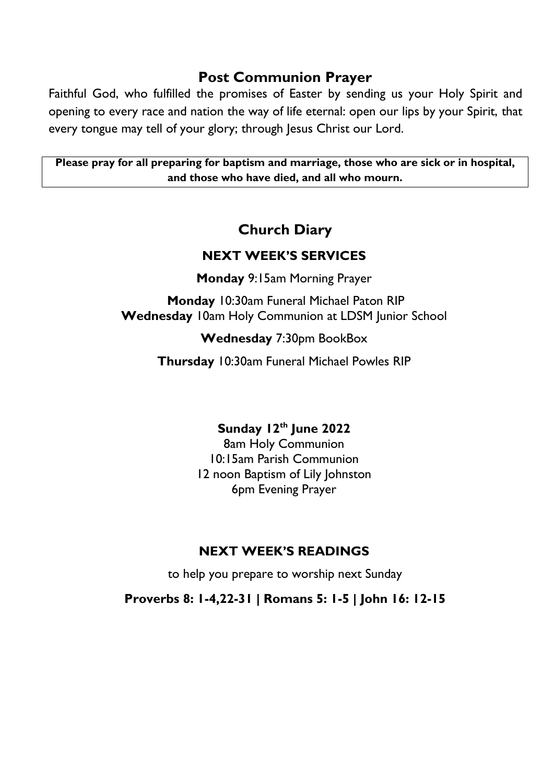#### **Post Communion Prayer**

Faithful God, who fulfilled the promises of Easter by sending us your Holy Spirit and opening to every race and nation the way of life eternal: open our lips by your Spirit, that every tongue may tell of your glory; through Jesus Christ our Lord.

**Please pray for all preparing for baptism and marriage, those who are sick or in hospital, and those who have died, and all who mourn.**

# **Church Diary**

#### **NEXT WEEK'S SERVICES**

**Monday** 9:15am Morning Prayer

**Monday** 10:30am Funeral Michael Paton RIP **Wednesday** 10am Holy Communion at LDSM Junior School

#### **Wednesday** 7:30pm BookBox

**Thursday** 10:30am Funeral Michael Powles RIP

## **Sunday 12th June 2022**

8am Holy Communion 10:15am Parish Communion 12 noon Baptism of Lily Johnston 6pm Evening Prayer

## **NEXT WEEK'S READINGS**

to help you prepare to worship next Sunday

**Proverbs 8: 1-4,22-31 | Romans 5: 1-5 | John 16: 12-15**